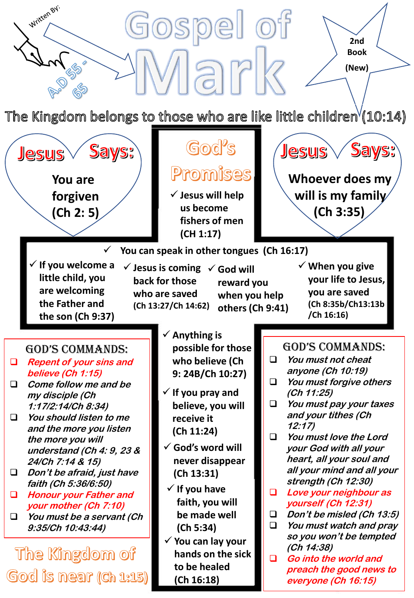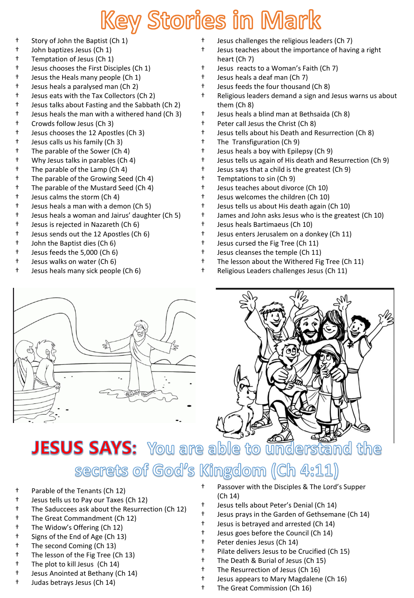## Key Stories in Mark

- † Story of John the Baptist (Ch 1)
- † John baptizes Jesus (Ch 1)
- † Temptation of Jesus (Ch 1)
- † Jesus chooses the First Disciples (Ch 1)
- † Jesus the Heals many people (Ch 1)
- † Jesus heals a paralysed man (Ch 2)
- † Jesus eats with the Tax Collectors (Ch 2)
- † Jesus talks about Fasting and the Sabbath (Ch 2)
- † Jesus heals the man with a withered hand (Ch 3)
- † Crowds follow Jesus (Ch 3)
- † Jesus chooses the 12 Apostles (Ch 3)
- † Jesus calls us his family (Ch 3)
- † The parable of the Sower (Ch 4)
- † Why Jesus talks in parables (Ch 4)
- † The parable of the Lamp (Ch 4)
- † The parable of the Growing Seed (Ch 4)
- † The parable of the Mustard Seed (Ch 4)
- † Jesus calms the storm (Ch 4)
- † Jesus heals a man with a demon (Ch 5)
- † Jesus heals a woman and Jairus' daughter (Ch 5)
- † Jesus is rejected in Nazareth (Ch 6)
- † Jesus sends out the 12 Apostles (Ch 6)
- † John the Baptist dies (Ch 6)
- † Jesus feeds the 5,000 (Ch 6)
- † Jesus walks on water (Ch 6)
- † Jesus heals many sick people (Ch 6)
- † Jesus challenges the religious leaders (Ch 7)
- Jesus teaches about the importance of having a right heart (Ch 7)
- † Jesus reacts to a Woman's Faith (Ch 7)
- † Jesus heals a deaf man (Ch 7)
- † Jesus feeds the four thousand (Ch 8)
- † Religious leaders demand a sign and Jesus warns us about them (Ch 8)
- † Jesus heals a blind man at Bethsaida (Ch 8)
- † Peter call Jesus the Christ (Ch 8)
- † Jesus tells about his Death and Resurrection (Ch 8)
- † The Transfiguration (Ch 9)
- † Jesus heals a boy with Epilepsy (Ch 9)
- † Jesus tells us again of His death and Resurrection (Ch 9)
- † Jesus says that a child is the greatest (Ch 9)
- † Temptations to sin (Ch 9)
- † Jesus teaches about divorce (Ch 10)
- † Jesus welcomes the children (Ch 10)
- † Jesus tells us about His death again (Ch 10)
- † James and John asks Jesus who is the greatest (Ch 10)
- † Jesus heals Bartimaeus (Ch 10)
- † Jesus enters Jerusalem on a donkey (Ch 11)
- † Jesus cursed the Fig Tree (Ch 11)
- † Jesus cleanses the temple (Ch 11)
- † The lesson about the Withered Fig Tree (Ch 11)
- † Religious Leaders challenges Jesus (Ch 11)





## **JESUS SAYS:** You are able to understand the

#### secrets of God's Kingdom (Ch 4:11)

- † Parable of the Tenants (Ch 12)
- † Jesus tells us to Pay our Taxes (Ch 12)
- † The Saduccees ask about the Resurrection (Ch 12)
- † The Great Commandment (Ch 12)
- † The Widow's Offering (Ch 12)
- † Signs of the End of Age (Ch 13)
- † The second Coming (Ch 13)
- † The lesson of the Fig Tree (Ch 13)
- † The plot to kill Jesus (Ch 14)
- † Jesus Anointed at Bethany (Ch 14)
- † Judas betrays Jesus (Ch 14)
- Passover with the Disciples & The Lord's Supper (Ch 14)
- Jesus tells about Peter's Denial (Ch 14)
- † Jesus prays in the Garden of Gethsemane (Ch 14)
- † Jesus is betrayed and arrested (Ch 14)
- † Jesus goes before the Council (Ch 14)
- † Peter denies Jesus (Ch 14)
- † Pilate delivers Jesus to be Crucified (Ch 15)
- † The Death & Burial of Jesus (Ch 15)
- † The Resurrection of Jesus (Ch 16)
- † Jesus appears to Mary Magdalene (Ch 16)
- † The Great Commission (Ch 16)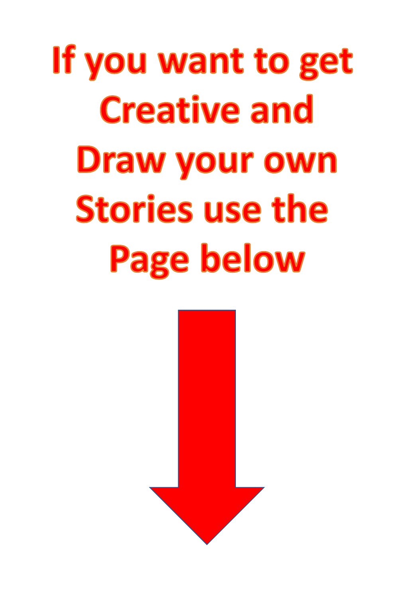# If you want to get **Creative and Draw your own Stories use the Page below**